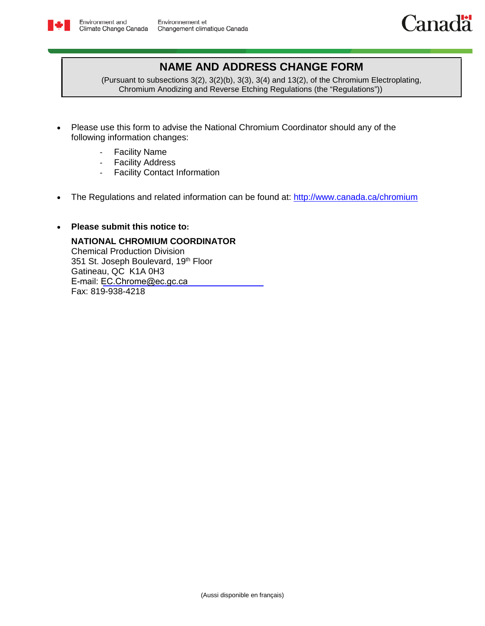



## **NAME AND ADDRESS CHANGE FORM**

(Pursuant to subsections 3(2), 3(2)(b), 3(3), 3(4) and 13(2), of the Chromium Electroplating, Chromium Anodizing and Reverse Etching Regulations (the "Regulations"))

- Please use this form to advise the National Chromium Coordinator should any of the following information changes:
	- Facility Name
	- Facility Address
	- Facility Contact Information
- The Regulations and related information can be found at: <http://www.canada.ca/chromium>

## • **Please submit this notice to:**

**NATIONAL CHROMIUM COORDINATOR** Chemical Production Division 351 St. Joseph Boulevard, 19th Floor Gatineau, QC K1A 0H3 E-mail: [EC.Chrome@ec.gc.ca](file:///\\ncr.int.ec.gc.ca\SHARES\H\HVCREGWG\Compliance%20Promotion\Compliance%20Promotion%20Tools\English%20versions\Reporting%20Forms\Word%20Documents%20in%20Track%20Changes\EC.Chrome-Chromium.EC@Canada.ca) Fax: 819-938-4218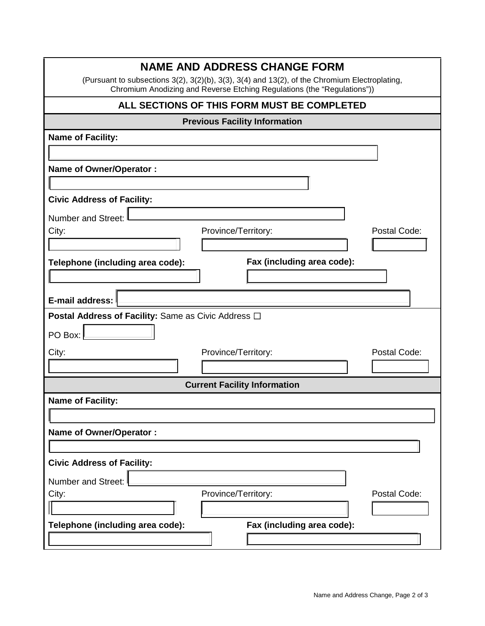| <b>NAME AND ADDRESS CHANGE FORM</b>                                                                                                                                      |  |  |  |  |
|--------------------------------------------------------------------------------------------------------------------------------------------------------------------------|--|--|--|--|
| (Pursuant to subsections 3(2), 3(2)(b), 3(3), 3(4) and 13(2), of the Chromium Electroplating,<br>Chromium Anodizing and Reverse Etching Regulations (the "Regulations")) |  |  |  |  |
| ALL SECTIONS OF THIS FORM MUST BE COMPLETED                                                                                                                              |  |  |  |  |
| <b>Previous Facility Information</b>                                                                                                                                     |  |  |  |  |
| <b>Name of Facility:</b>                                                                                                                                                 |  |  |  |  |
|                                                                                                                                                                          |  |  |  |  |
| <b>Name of Owner/Operator:</b>                                                                                                                                           |  |  |  |  |
|                                                                                                                                                                          |  |  |  |  |
| <b>Civic Address of Facility:</b>                                                                                                                                        |  |  |  |  |
| <b>Number and Street:</b>                                                                                                                                                |  |  |  |  |
| Province/Territory:<br>Postal Code:<br>City:                                                                                                                             |  |  |  |  |
|                                                                                                                                                                          |  |  |  |  |
| Fax (including area code):<br>Telephone (including area code):                                                                                                           |  |  |  |  |
|                                                                                                                                                                          |  |  |  |  |
| E-mail address:                                                                                                                                                          |  |  |  |  |
| <b>Postal Address of Facility: Same as Civic Address □</b>                                                                                                               |  |  |  |  |
| PO Box:                                                                                                                                                                  |  |  |  |  |
| Postal Code:<br>Province/Territory:<br>City:                                                                                                                             |  |  |  |  |
|                                                                                                                                                                          |  |  |  |  |
| <b>Current Facility Information</b>                                                                                                                                      |  |  |  |  |
| <b>Name of Facility:</b>                                                                                                                                                 |  |  |  |  |
|                                                                                                                                                                          |  |  |  |  |
| <b>Name of Owner/Operator:</b>                                                                                                                                           |  |  |  |  |
|                                                                                                                                                                          |  |  |  |  |
| <b>Civic Address of Facility:</b>                                                                                                                                        |  |  |  |  |
| Number and Street:                                                                                                                                                       |  |  |  |  |
| City:<br>Province/Territory:<br>Postal Code:                                                                                                                             |  |  |  |  |
|                                                                                                                                                                          |  |  |  |  |
| Telephone (including area code):<br>Fax (including area code):                                                                                                           |  |  |  |  |
|                                                                                                                                                                          |  |  |  |  |